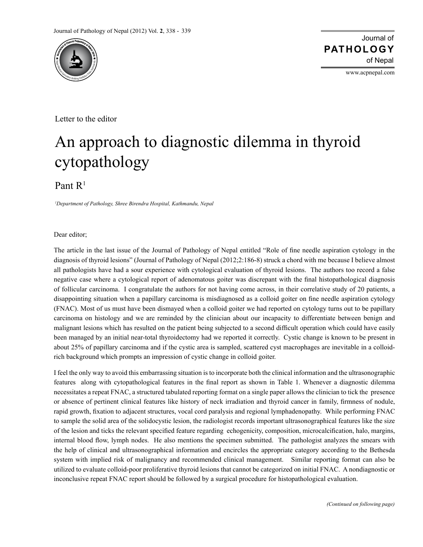

www.acpnepal.com

Letter to the editor

## An approach to diagnostic dilemma in thyroid cytopathology

Pant  $R<sup>1</sup>$ 

*1 Department of Pathology, Shree Birendra Hospital, Kathmandu, Nepal*

Dear editor;

The article in the last issue of the Journal of Pathology of Nepal entitled "Role of fine needle aspiration cytology in the diagnosis of thyroid lesions" (Journal of Pathology of Nepal (2012;2:186-8) struck a chord with me because I believe almost all pathologists have had a sour experience with cytological evaluation of thyroid lesions. The authors too record a false negative case where a cytological report of adenomatous goiter was discrepant with the final histopathological diagnosis of follicular carcinoma. I congratulate the authors for not having come across, in their correlative study of 20 patients, a disappointing situation when a papillary carcinoma is misdiagnosed as a colloid goiter on fine needle aspiration cytology (FNAC). Most of us must have been dismayed when a colloid goiter we had reported on cytology turns out to be papillary carcinoma on histology and we are reminded by the clinician about our incapacity to differentiate between benign and malignant lesions which has resulted on the patient being subjected to a second difficult operation which could have easily been managed by an initial near-total thyroidectomy had we reported it correctly. Cystic change is known to be present in about 25% of papillary carcinoma and if the cystic area is sampled, scattered cyst macrophages are inevitable in a colloidrich background which prompts an impression of cystic change in colloid goiter.

I feel the only way to avoid this embarrassing situation is to incorporate both the clinical information and the ultrasonographic features along with cytopathological features in the final report as shown in Table 1. Whenever a diagnostic dilemma necessitates a repeat FNAC, a structured tabulated reporting format on a single paper allows the clinician to tick the presence or absence of pertinent clinical features like history of neck irradiation and thyroid cancer in family, firmness of nodule, rapid growth, fixation to adjacent structures, vocal cord paralysis and regional lymphadenopathy. While performing FNAC to sample the solid area of the solidocystic lesion, the radiologist records important ultrasonographical features like the size of the lesion and ticks the relevant specified feature regarding echogenicity, composition, microcalcification, halo, margins, internal blood flow, lymph nodes. He also mentions the specimen submitted. The pathologist analyzes the smears with the help of clinical and ultrasonographical information and encircles the appropriate category according to the Bethesda system with implied risk of malignancy and recommended clinical management. Similar reporting format can also be utilized to evaluate colloid-poor proliferative thyroid lesions that cannot be categorized on initial FNAC. A nondiagnostic or inconclusive repeat FNAC report should be followed by a surgical procedure for histopathological evaluation.